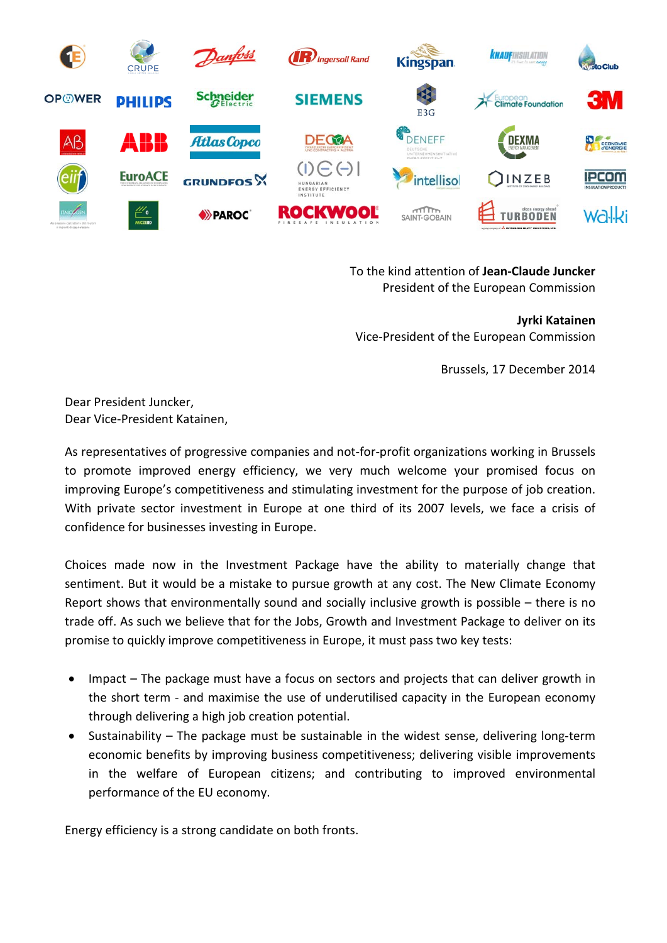

To the kind attention of **Jean-Claude Juncker** President of the European Commission

**Jyrki Katainen** Vice-President of the European Commission

Brussels, 17 December 2014

Dear President Juncker, Dear Vice-President Katainen,

As representatives of progressive companies and not-for-profit organizations working in Brussels to promote improved energy efficiency, we very much welcome your promised focus on improving Europe's competitiveness and stimulating investment for the purpose of job creation. With private sector investment in Europe at one third of its 2007 levels, we face a crisis of confidence for businesses investing in Europe.

Choices made now in the Investment Package have the ability to materially change that sentiment. But it would be a mistake to pursue growth at any cost. The New Climate Economy Report shows that environmentally sound and socially inclusive growth is possible – there is no trade off. As such we believe that for the Jobs, Growth and Investment Package to deliver on its promise to quickly improve competitiveness in Europe, it must pass two key tests:

- Impact The package must have a focus on sectors and projects that can deliver growth in the short term - and maximise the use of underutilised capacity in the European economy through delivering a high job creation potential.
- Sustainability The package must be sustainable in the widest sense, delivering long-term economic benefits by improving business competitiveness; delivering visible improvements in the welfare of European citizens; and contributing to improved environmental performance of the EU economy.

Energy efficiency is a strong candidate on both fronts.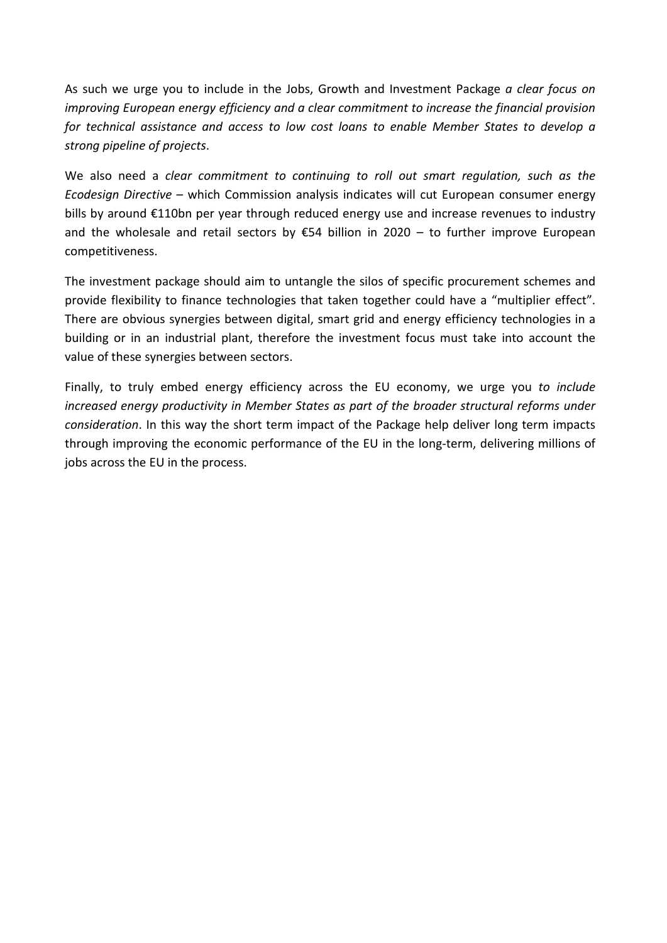As such we urge you to include in the Jobs, Growth and Investment Package *a clear focus on improving European energy efficiency and a clear commitment to increase the financial provision for technical assistance and access to low cost loans to enable Member States to develop a strong pipeline of projects*.

We also need a *clear commitment to continuing to roll out smart regulation, such as the Ecodesign Directive* – which Commission analysis indicates will cut European consumer energy bills by around €110bn per year through reduced energy use and increase revenues to industry and the wholesale and retail sectors by  $\epsilon$ 54 billion in 2020 – to further improve European competitiveness.

The investment package should aim to untangle the silos of specific procurement schemes and provide flexibility to finance technologies that taken together could have a "multiplier effect". There are obvious synergies between digital, smart grid and energy efficiency technologies in a building or in an industrial plant, therefore the investment focus must take into account the value of these synergies between sectors.

Finally, to truly embed energy efficiency across the EU economy, we urge you *to include increased energy productivity in Member States as part of the broader structural reforms under consideration*. In this way the short term impact of the Package help deliver long term impacts through improving the economic performance of the EU in the long-term, delivering millions of jobs across the EU in the process.